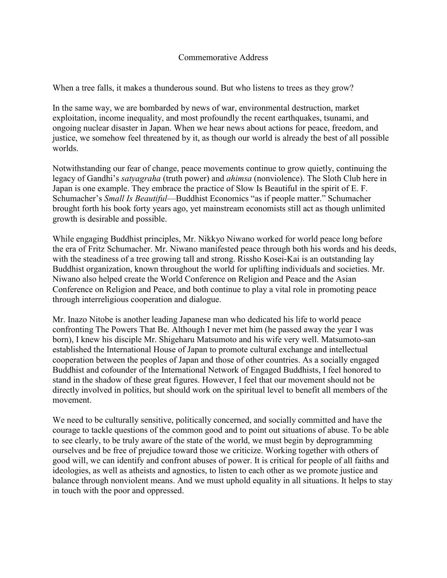## Commemorative Address

When a tree falls, it makes a thunderous sound. But who listens to trees as they grow?

In the same way, we are bombarded by news of war, environmental destruction, market exploitation, income inequality, and most profoundly the recent earthquakes, tsunami, and ongoing nuclear disaster in Japan. When we hear news about actions for peace, freedom, and justice, we somehow feel threatened by it, as though our world is already the best of all possible worlds.

Notwithstanding our fear of change, peace movements continue to grow quietly, continuing the legacy of Gandhi's *satyagraha* (truth power) and *ahimsa* (nonviolence). The Sloth Club here in Japan is one example. They embrace the practice of Slow Is Beautiful in the spirit of E. F. Schumacher's *Small Is Beautiful*—Buddhist Economics "as if people matter." Schumacher brought forth his book forty years ago, yet mainstream economists still act as though unlimited growth is desirable and possible.

While engaging Buddhist principles, Mr. Nikkyo Niwano worked for world peace long before the era of Fritz Schumacher. Mr. Niwano manifested peace through both his words and his deeds, with the steadiness of a tree growing tall and strong. Rissho Kosei-Kai is an outstanding lay Buddhist organization, known throughout the world for uplifting individuals and societies. Mr. Niwano also helped create the World Conference on Religion and Peace and the Asian Conference on Religion and Peace, and both continue to play a vital role in promoting peace through interreligious cooperation and dialogue.

Mr. Inazo Nitobe is another leading Japanese man who dedicated his life to world peace confronting The Powers That Be. Although I never met him (he passed away the year I was born), I knew his disciple Mr. Shigeharu Matsumoto and his wife very well. Matsumoto-san established the International House of Japan to promote cultural exchange and intellectual cooperation between the peoples of Japan and those of other countries. As a socially engaged Buddhist and cofounder of the International Network of Engaged Buddhists, I feel honored to stand in the shadow of these great figures. However, I feel that our movement should not be directly involved in politics, but should work on the spiritual level to benefit all members of the movement.

We need to be culturally sensitive, politically concerned, and socially committed and have the courage to tackle questions of the common good and to point out situations of abuse. To be able to see clearly, to be truly aware of the state of the world, we must begin by deprogramming ourselves and be free of prejudice toward those we criticize. Working together with others of good will, we can identify and confront abuses of power. It is critical for people of all faiths and ideologies, as well as atheists and agnostics, to listen to each other as we promote justice and balance through nonviolent means. And we must uphold equality in all situations. It helps to stay in touch with the poor and oppressed.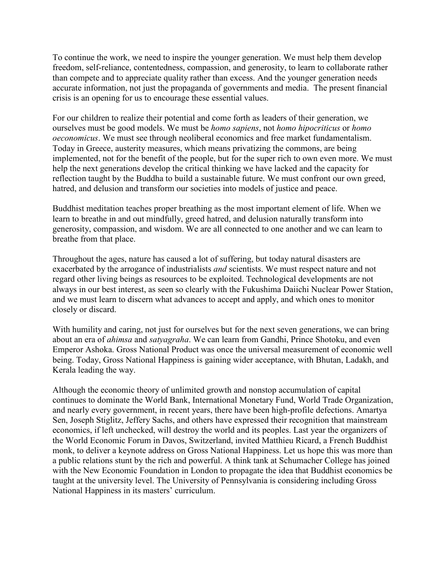To continue the work, we need to inspire the younger generation. We must help them develop freedom, self-reliance, contentedness, compassion, and generosity, to learn to collaborate rather than compete and to appreciate quality rather than excess. And the younger generation needs accurate information, not just the propaganda of governments and media. The present financial crisis is an opening for us to encourage these essential values.

For our children to realize their potential and come forth as leaders of their generation, we ourselves must be good models. We must be *homo sapiens*, not *homo hipocriticus* or *homo oeconomicus*. We must see through neoliberal economics and free market fundamentalism. Today in Greece, austerity measures, which means privatizing the commons, are being implemented, not for the benefit of the people, but for the super rich to own even more. We must help the next generations develop the critical thinking we have lacked and the capacity for reflection taught by the Buddha to build a sustainable future. We must confront our own greed, hatred, and delusion and transform our societies into models of justice and peace.

Buddhist meditation teaches proper breathing as the most important element of life. When we learn to breathe in and out mindfully, greed hatred, and delusion naturally transform into generosity, compassion, and wisdom. We are all connected to one another and we can learn to breathe from that place.

Throughout the ages, nature has caused a lot of suffering, but today natural disasters are exacerbated by the arrogance of industrialists *and* scientists. We must respect nature and not regard other living beings as resources to be exploited. Technological developments are not always in our best interest, as seen so clearly with the Fukushima Daiichi Nuclear Power Station, and we must learn to discern what advances to accept and apply, and which ones to monitor closely or discard.

With humility and caring, not just for ourselves but for the next seven generations, we can bring about an era of *ahimsa* and *satyagraha*. We can learn from Gandhi, Prince Shotoku, and even Emperor Ashoka. Gross National Product was once the universal measurement of economic well being. Today, Gross National Happiness is gaining wider acceptance, with Bhutan, Ladakh, and Kerala leading the way.

Although the economic theory of unlimited growth and nonstop accumulation of capital continues to dominate the World Bank, International Monetary Fund, World Trade Organization, and nearly every government, in recent years, there have been high-profile defections. Amartya Sen, Joseph Stiglitz, Jeffery Sachs, and others have expressed their recognition that mainstream economics, if left unchecked, will destroy the world and its peoples. Last year the organizers of the World Economic Forum in Davos, Switzerland, invited Matthieu Ricard, a French Buddhist monk, to deliver a keynote address on Gross National Happiness. Let us hope this was more than a public relations stunt by the rich and powerful. A think tank at Schumacher College has joined with the New Economic Foundation in London to propagate the idea that Buddhist economics be taught at the university level. The University of Pennsylvania is considering including Gross National Happiness in its masters' curriculum.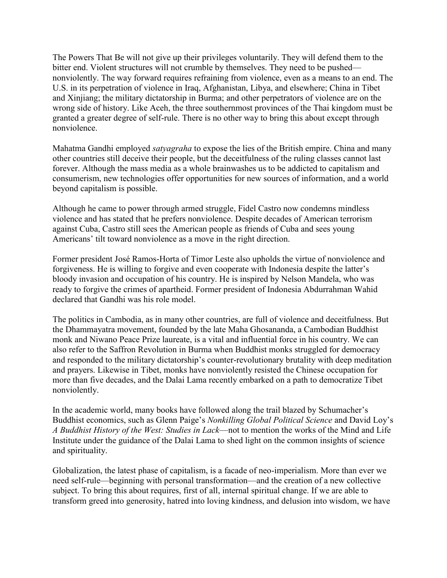The Powers That Be will not give up their privileges voluntarily. They will defend them to the bitter end. Violent structures will not crumble by themselves. They need to be pushed nonviolently. The way forward requires refraining from violence, even as a means to an end. The U.S. in its perpetration of violence in Iraq, Afghanistan, Libya, and elsewhere; China in Tibet and Xinjiang; the military dictatorship in Burma; and other perpetrators of violence are on the wrong side of history. Like Aceh, the three southernmost provinces of the Thai kingdom must be granted a greater degree of self-rule. There is no other way to bring this about except through nonviolence.

Mahatma Gandhi employed *satyagraha* to expose the lies of the British empire. China and many other countries still deceive their people, but the deceitfulness of the ruling classes cannot last forever. Although the mass media as a whole brainwashes us to be addicted to capitalism and consumerism, new technologies offer opportunities for new sources of information, and a world beyond capitalism is possible.

Although he came to power through armed struggle, Fidel Castro now condemns mindless violence and has stated that he prefers nonviolence. Despite decades of American terrorism against Cuba, Castro still sees the American people as friends of Cuba and sees young Americans' tilt toward nonviolence as a move in the right direction.

Former president José Ramos-Horta of Timor Leste also upholds the virtue of nonviolence and forgiveness. He is willing to forgive and even cooperate with Indonesia despite the latter's bloody invasion and occupation of his country. He is inspired by Nelson Mandela, who was ready to forgive the crimes of apartheid. Former president of Indonesia Abdurrahman Wahid declared that Gandhi was his role model.

The politics in Cambodia, as in many other countries, are full of violence and deceitfulness. But the Dhammayatra movement, founded by the late Maha Ghosananda, a Cambodian Buddhist monk and Niwano Peace Prize laureate, is a vital and influential force in his country. We can also refer to the Saffron Revolution in Burma when Buddhist monks struggled for democracy and responded to the military dictatorship's counter-revolutionary brutality with deep meditation and prayers. Likewise in Tibet, monks have nonviolently resisted the Chinese occupation for more than five decades, and the Dalai Lama recently embarked on a path to democratize Tibet nonviolently.

In the academic world, many books have followed along the trail blazed by Schumacher's Buddhist economics, such as Glenn Paige's *Nonkilling Global Political Science* and David Loy's *A Buddhist History of the West: Studies in Lack*—not to mention the works of the Mind and Life Institute under the guidance of the Dalai Lama to shed light on the common insights of science and spirituality.

Globalization, the latest phase of capitalism, is a facade of neo-imperialism. More than ever we need self-rule—beginning with personal transformation—and the creation of a new collective subject. To bring this about requires, first of all, internal spiritual change. If we are able to transform greed into generosity, hatred into loving kindness, and delusion into wisdom, we have